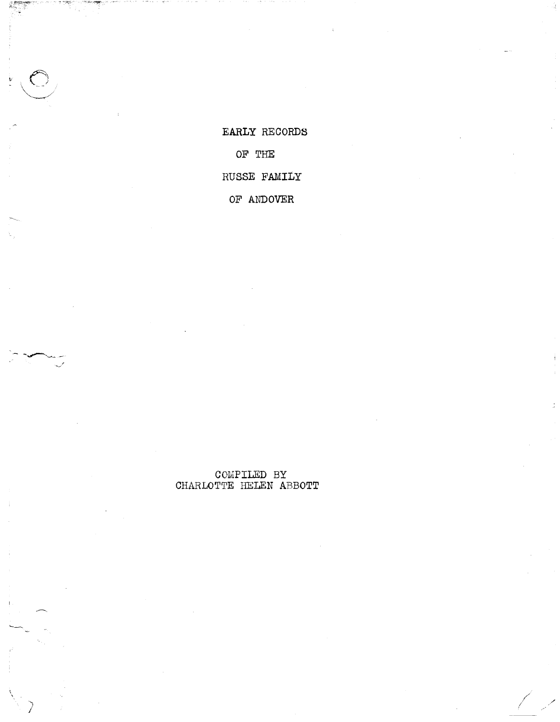EARLY RECORDS OF THE RUSSE FAMILY

OF ANDOVER

 $\begin{array}{ll} \textbf{COMPILED} & \textbf{BY} \\ \textbf{CHAPTER} & \textbf{ABBOTT} \end{array}$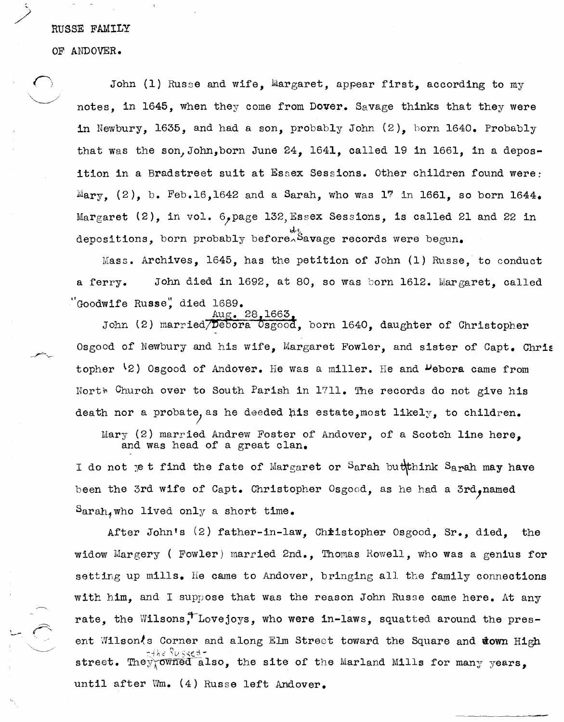### RUSSE FAMILY

OF ANDOVER.

John  $(1)$  Russe and wife, Margaret, appear first, according to my notes, in 1645, when they come from Dover. Savage thinks that they were in Newbury, 1635, and had a son, probably John  $(2)$ , born 1640. Probably that was the son, John, born June 24, 1641, called 19 in 1661, in a deposition in a Bradstreet suit at Essex Sessions. Other children found were: Mary, (2), b. Feb.16,1642 and a Sarah, who was 17 in 1661, so born 1644. Margaret (2), in vol.  $6$ , page 132, Essex Sessions, is called 21 and 22 in depositions, born probably before<sup>xt</sup>savage records were begun.

 $Mass.$  Archives, 1645, has the petition of John (1) Russe, to conduct a ferry. John died in 1692, at 80, so was born 1612. Margaret, called "Goodwife Russe", died 1689.

28,1663. John (2) married/Debora 0sgood, born 1640, daughter of Christopher Osgood of Newbury and his wife, Margaret Fowler, and sister of Capt. Chris topher  $\{2\}$  Osgood of Andover. He was a miller. He and  $P$ ebora came from North Church over to South Parish in 1711. The records do not give his death nor a probate, as he deeded his estate, most likely, to children.

Mary (2) married Andrew Foster of Andover, of a Scotch line here, and was head of a great clan.

I do not yet find the fate of Margaret or Sarah buththink Sarah may have been the 3rd wife of Capt. Christopher Osgood, as he had a 3rd, named  $Sarah,$  who lived only a short time.

After John's (2) father-in-law, Chiistopher Osgood, Sr., died, the widow Margery ( Fowler) married 2nd., Thomas Rowell, who was a genius for setting up mills. He came to Andover, bringing all the family connections with him, and I suppose that was the reason John Russe came here. At any rate, the Wilsons, Lovejoys, who were in-laws, squatted around the present Wilson<sup>{</sup>s Corner and along Elm Street toward the Square and down High :--ih~' *\'v.;,,(:3* street. They owned also, the site of the Marland Mills for many years, until after Wm. (4) Russe left Andover.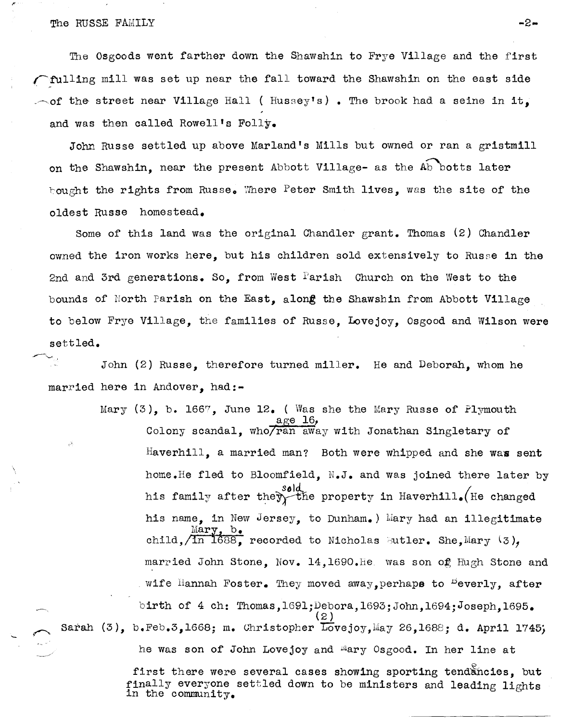## The RUSSE FAIULY **-2-**

\,

The Osgoods went farther down the Shawshin to Frye Village and the first rulling mill was set up near the fall toward the Shawshin on the east side  $\sim$  of the street near Village Hall ( Hussey's). The brook had a seine in it, and was then called Rowell's Folly.

John Russe settled up above Marland's Mills but owned or ran a gristmill on the Shawshin, near the present Abbott Village- as the Ab botts later bought the rights from Russe. Where Peter Smith lives, was the site of the oldest Russe homestead.

Some of this land was the original Chandler grant. Thomas  $(2)$  Chandler owned the iron works here, but his children sold extensively to Russe in the 2nd and 3rd generations. So, from West Parish Church on the West to the bounds of North Parish on the East, along the Shawshin from Abbott Village to below Frye Village, the families of Russe, Lovejoy, Osgood and Wilson were settled.

John (2) Russe, therefore turned miller. He and Deborah, whom he married here in Andover, had:-

Mary  $(3)$ , b. 1667, June 12. ( Was she the Mary Russe of Plymouth  $\alpha$ ge 16,  $\alpha$ age 16,<br>Colony scandal, who/ran away with Jonathan Singletary of  $H$ averhill, a married man? Both were whipped and she was sent home.He fled to Bloomfield, N.J. and was joined there later by his family after they the property in Haverhill. (He changed his name, in New Jersey, to Dunham.) Mary had an illegitimate  $\frac{\text{Mary, b}}{\text{Only, 1688}}$  recorded to Nicholas Sutler. She, Mary  $(3)$ , married John Stone, Nov. 14, 1690. He was son of Hugh Stone and wife Hannah Foster. They moved away, perhaps to  $P$ everly, after birth of 4 ch: Thomas, 1691; Debora, 1693; John, 1694; Joseph, 1695.  $(2)$ Sarah (3), b.Feb.3,1668; m. Christopher Lovejoy, May 26,1688; d. April 1745;

he was son of John Lovejoy and <sup>m</sup>ary Osgood. In her line at

first there were several cases showing sporting tendancies. but finally everyone settled down to be ministers and leading lights in the community.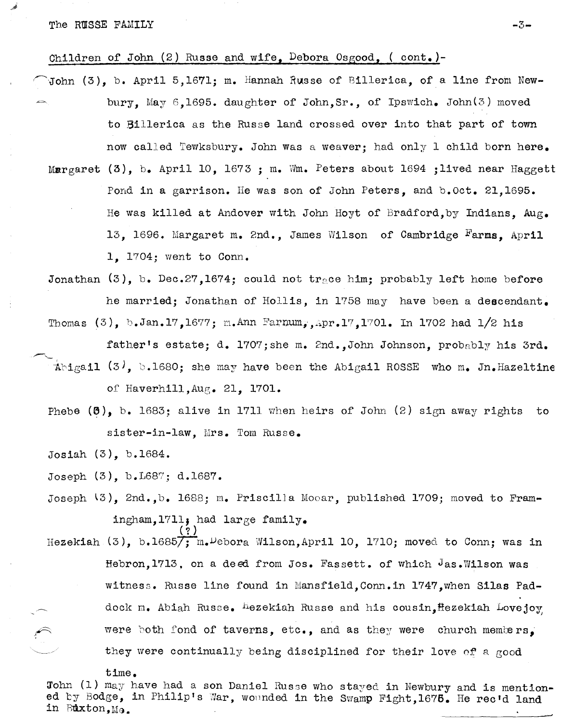Children of John (2) Russe and wife, Debora Osgood, (cont.)-

- \John (3), b. April 5,1671; m. Hannah Russe of Billerica, of a line from Newbury, May 6,1695. daughter of John,Sr., of Ipswich. John(3) moved to Billerica as the Russe land crossed over into that part of town now called Tewksbury. John was a weaver; had only 1 child born here. Margaret  $(3)$ , b. April 10, 1673 ; m. Wm. Peters about 1694 ;lived near Haggett
- Pond in a garrison. He was son of John Peters, and b.Oct. 21,1695. He was killed at Andover with John Hoyt of Bradford, by Indians,  $Aug<sub>e</sub>$ 13, 1696. Margaret m. 2nd., James Wilson of Cambridge Farms. April 1, 1704; went to Conn.

Jonathan  $(3)$ , b. Dec.27,1674; could not trace him; probably left home before he married; Jonathan of Hollis, in 1758 may have been a descendant. Thomas  $(3)$ , b.Jan.17,1677; m.Ann Farnum,,Apr.17,1701. In 1702 had 1/2 his

father's estate; d. 1707; she m. 2nd., John Johnson, probably his 3rd. Abigail (3), b.1680; she may have been the Abigail ROSSE who m. Jn.Hazeltine

of Haverhill, Aug. 21, 1701.

Phebe  $(6)$ , b. 1683; alive in 1711 when heirs of John  $(2)$  sign away rights to sister-in-law, Mrs. Tom Russe.

Josiah (3), b.1684.

Joseph (3), b.L68?; d.1687.

Joseph  $(3)$ , 2nd.,b. 1688; m. Priscilla Mooar, published 1709; moved to Framingham,  $1711$ , had  $1$ arge family. ( ? )

Hezekiah (3), b.1685 $\overline{7}$ ; m.<sup>D</sup>ebora Wilson,April 10, 1710; moved to Conn; was in Hebron,1713, on a deed from Jos. Fassett. of which Jas.Wilson was witness. Russe line found in Mansfield, Conn. in 1747,when Silas Paddock m. Abiah Russe. hezekiah Russe and his cousin, Hezekiah Lovejoy were both fond of taverns, etc., and as they were church members. they were continually being disciplined for their love of a good

time.

John (1) may have had a son Daniel Russe who stayed in Newbury and is mention-ed by Bodge, in Philip's War, wounded in the Swamp Fight,1675. He rec'd land in Buxton, Ma.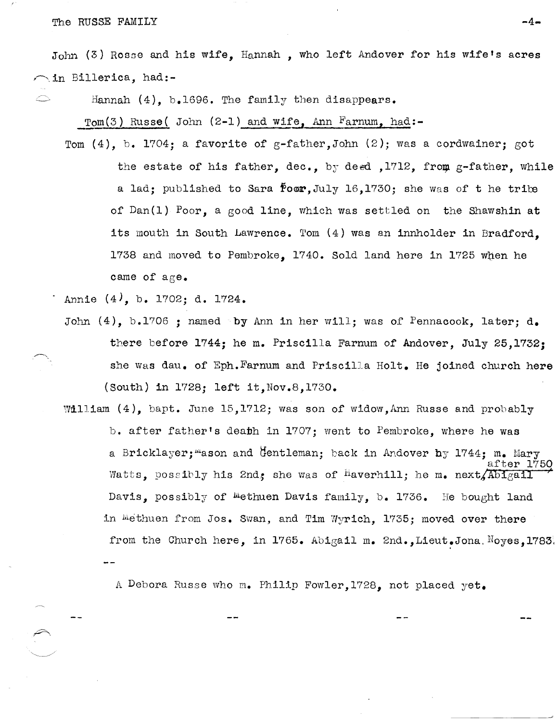The RUSSE FAMILY **-4-**

John  $(3)$  Rosse and his wife, Hannah, who left Andover for his wife's acres  $\sim$ in Billerica, had:-

 $\circ$  Hannah (4), b.1696. The family then disappears.

Tom(3) Russe( John (2-1) and wife, Ann Farnum, had:-

Tom (4), b. 1704; a favorite of g-father, John (2); was a cordwainer; got the estate of his father, dec., by deed , 1712, from  $g$ -father, while a lad; published to Sara  $\overline{P}$ oor, July 16,1730; she was of t he tribe of Dan(l) Poor, a good line, which was settled on the Shawshin at its mouth in South Lawrence. Tom  $(4)$  was an innholder in Bradford. 1738 and moved to Pembroke, 1740. Sold land here in 1725 when he came of age.

Annie  $(4)$ , b. 1702; d. 1724.

- John  $(4)$ , b.1706 ; named by Ann in her will; was of Pennacook, later; d. there before 1744; he m. Priscilla Farnum of Andover, July 25,1732; she was dau. of Eph. Farnum and Priscilla Holt. He joined church here (South) in 1728; left it, Nov. 8, 1730.
- William  $(4)$ , bapt. June 15,1712; was son of widow,Ann Russe and probably b. after father's death in 1707; went to Pembroke, where he was a Bricklayer; "ason and Gentleman; back in Andover by 1744; m. Mary after 1750 Watts, possibly his 2nd, she was of haverhill; he m. next/Abigail Davis, possibly of Methuen Davis family, b. 1736. He bought land in Methuen from Jos. Swan, and Tim Wyrich, 1735; moved over there from the Church here, in 1765. Abigail m. 2nd.,Lieut.Jona. Noyes, 1783,

A Debora Russe who m. Philip Fowler, 1728, not placed yet.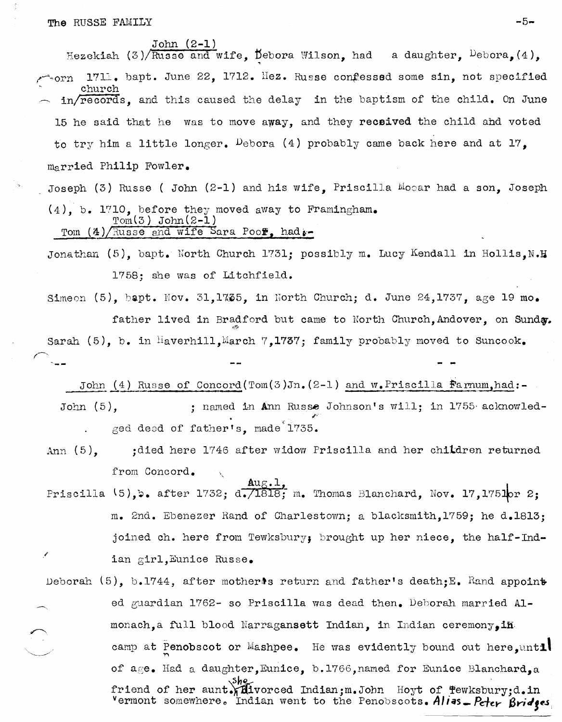The RUSSE FAMILY  $-5-$ 

John (2-1)

Hezekiah (3)/ $\overline{\text{Russe}}$  and wife,  $\overline{\text{Debora}}$  Wilson, had a daughter,  $\overline{\text{Debora}}$ , (4),  $r_{\rm e}$ orn 1711. bapt. June 22, 1712. Hez. Russe confessed some sin, not specified church in/records, and this caused the delay in the baptism of the child. On June 15 he said that he was to move away, and they received the child and voted to try him a little longer. Debora (4) probably came back here and at  $17$ . married Philip Fowler. Joseph (3) Russe ( John (2-1) and his wife, Priscilla  $M_{\text{O}}$  ar had a son, Joseph

 $(4)$ , b. 1710, before they moved away to Framingham.  $Tom(3)$  John $(2-1)$ Tom  $(4)/$ Russe and wife Sara Pool, had.

- Jonathan (5), bapt. North Church 1731; possibly m. Lucy Kendall in Hollis, N.H 1758; she was of Litchfield.
- Simeon  $(5)$ , bapt. Nov. 31,1735, in North Church; d. June 24,1737, age 19 mo. father lived in Bradford but came to North Church, Andover, on Sunda. ~~ Sarah (5), b. in Haverhill, March 7, 1737; family probably moved to Suncook.

John (4) Russe of Concord(Tom(3)Jn.  $(2-1)$  and w. Priscilla Farmum,had:-

- John (5), jet annot in Ann Russe Johnson's will; in 1755 acknowled-,Fged deed of father's, made'1735.
- Ann (5), jdied here 1746 after widow Priscilla and her children returned from Concord.
- $\texttt{Aug.1,}$ Priscilla  $(5)$ , b. after 1732; d. 1818; m. Thomas Blanchard, Nov. 17,1751or 2; m. 2nd. Ebenezer Rand of Charlestown; a blacksmith,1759; he d.18l3; joined ch. here from Tewksbury; brought up her niece, the half-Indian girl,Eunice Russe.
- Deborah (5), b.1744, after mother: return and father's death:  $E_n$  Rand appoint ed guardian 1762- so Priscilla was dead then. Deborah married Almonach,a full blood Narragansett Indian, in Indian ceremony.in camp at Penobscot or Mashpee. He was evidently bound out here.until of age. Had a daughter, Eunice, b.1766, named for Eunice Blanchard, a friend of her aunt.  $\lim_{n \to \infty}$  . Indian; m. John Hoyt of Tewksbury;d.in vermont somewhere. Indian went to the Penobscots. *Allas* - Peter Bridges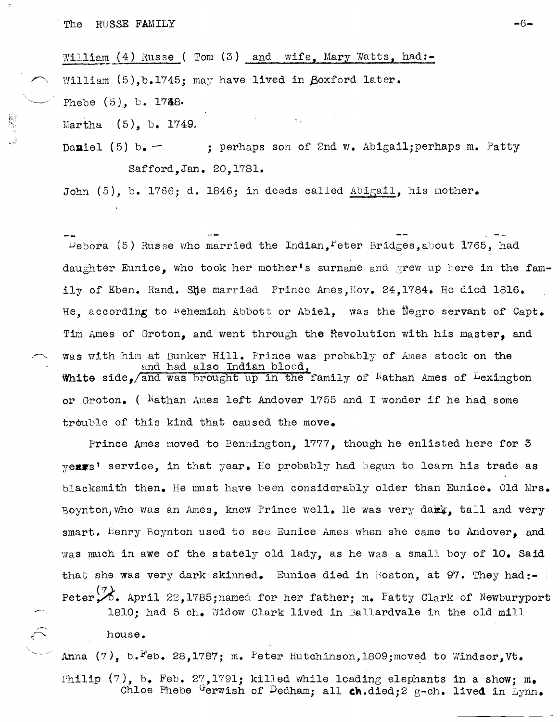William  $(4)$  Russe ( Tom  $(3)$  and wife, Mary Watts, had:-William  $(5)$ , b.1745; may have lived in Boxford later. Phebe (5), b. 1748.

Martha (5), b. 1749.

Daniel (5) b.  $-$  ; perhaps son of 2nd w. Abigail; perhaps m. Patty Safford, Jan. 20,1781 •

John (5), b. 1766; d. 1846; in deeds called Abigail, his mother.

 $P_{\text{ebora}}$  (5) Russe who married the Indian,  $P_{\text{eter}}$  Bridges, about 1765, had daughter Eunice, who took her mother's surname and grew up here in the family of Eben. Rand. She married Prince Ames.Nov. 24.1784. He died 1816. He, according to Wehemiah Abbott or Abiel, was the Negro servant of Capt. Tim Ames of Groton, and went through the fievolution with his master, and was with him at Bunker Hill. Prince was probably of Ames stock on the and had also Indian blood, White side, and was brought up in the family of  $N$ athan Ames of Lexington or Groton. (  $Nathan$  Ames left Andover 1755 and I wonder if he had some trouble of this kind that caused the move.

Prince Ames moved to Bennington, 1777, though he enlisted here for 3  $v$ exxs' service, in that  $y$ ear. He probably had begun to learn his trade as blacksmith then. He must have been considerably older than Eunice. Old Mrs. Boynton, who was an Ames. knew Prince well. He was very dark, tall and very smart. Henry Boynton used to see Eunice Ames when she came to Andover, and was much in awe of the stately old lady, as he was a small boy of 10. Said that she was very dark skinned. Eunice died in Boston, at 97. They had:-Peter $\mathcal{P}_1$ . April 22,1785;named for her father; m. Patty Clark of Newburyport 1810; had 5 ch. Widow Clark lived in Ballardvale in the old mill

house.

Anna (7), b. Feb. 28,1787; m. Peter Hutchinson,1809;moved to Windsor, Vt. Philip (7), b. Feb. 27,1791; killed while leading elephants in a show;  $m_{\bullet}$ Chloe Phebe Gerwish of Dedham; all ch.died;2 g-ch. lived in Lynn.

-6-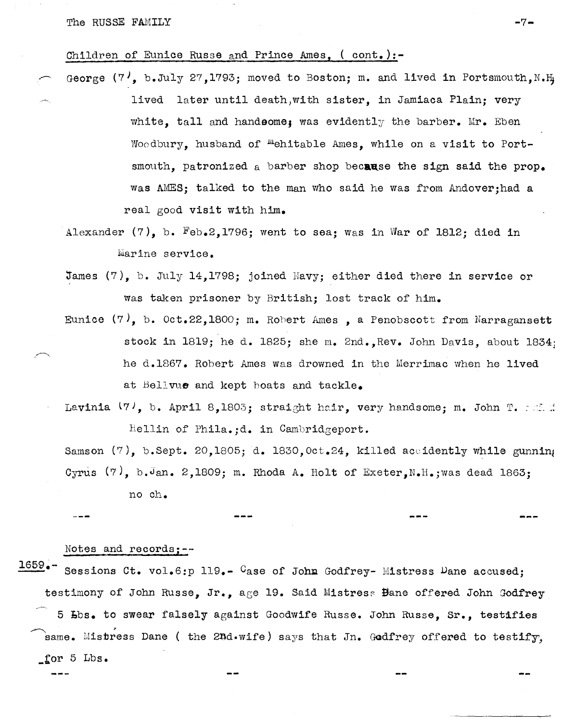## Children of Eunice Russe and Prince Ames, ( cont.):-

- George (7), b.July 27,1793; moved to Boston; m. and lived in Portsmouth, N.H. lived later until death,with sister, in Jamiaca Plain; very white, tall and handsome; was evidently the barber. Mr. Eben Woodbury, husband of <sup>M</sup>ehitable Ames, while on a visit to Portsmouth, patronized a barber shop because the sign said the prop. Was AMES; talked to the man who said he Was from Andoverjhad a real good visit with him.
	- Alexander (7), b. Feb.2,1796; went to sea; Was in War of 1812; died in Marine service.
	- James (7), b. July 14,1798; joined Havy; either died there in service or was taken prisoner by British; lost track of him.
	- Eunice  $(7)$ , b. Oct.22,1800; m. Robert Ames, a Penobscott from Narragansett stock in 1819; he d. 1825; she m. 2nd., Rev. John Davis, about 1834; he d.1867. Robert Ames was drowned in the Merrimac when he lived at Bellvue and kept boats and tackle.
	- Lavinia  $(7)$ , b. April 8,1803; straight hair, very handsome; m. John T. F. S. W. Hellin of Phila.;d. in Cambridgeport.

Samson  $(7)$ , b.Sept. 20,1805; d. 1830, Oct.24, killed accidently while gunning Cyrus  $(7)$ , b. Jan. 2,1809; m. Rhoda A. Holt of Exeter, N.H.; was dead 1863;

no ch.

Notes and recordsj--

1659.<sup>--</sup> Sessions Ct. vol.6:p 119.-<sup>C</sup>ase of John Godfrey- Mistress <sup>D</sup>ane accused; testimony of John Russe, Jr., age 19. Said Mistress Bane offered John Godfrey 5 Lbs. to swear falsely against Goodwife Russe. John Russe, Sr., testifies  $\sim$   $\sim$   $\sim$   $\sim$ same. Mistress Dane ( the 2nd.wife) says that Jn. Godfrey offered to testify, \_tor 5 Lbs.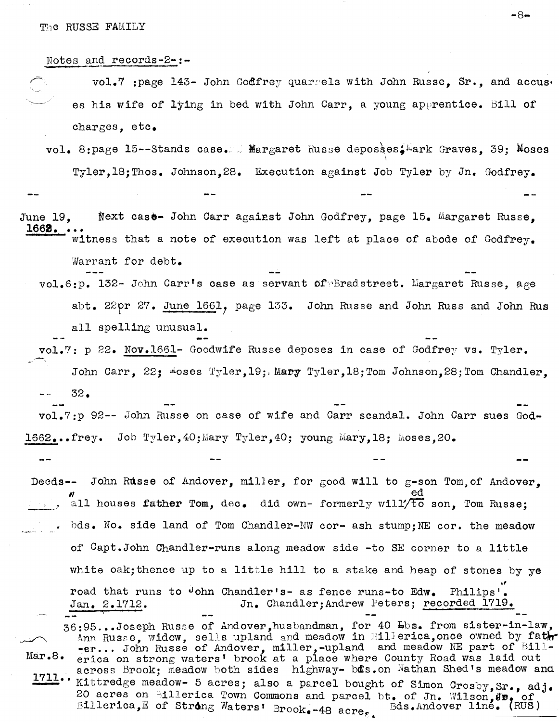The RUSSE FAMILY

Notes and records-2-:-

vol.7 : page 143- John Godfrey quarrels with John Russe. Sr., and accus. es his wife of lying in bed with John Carr, a young apprentice. Bill of charges. etc.

- vol. 8:page 15--Stands case. L Margaret Russe deposses. Mark Graves, 39; Moses Tyler.18: Thos. Johnson.28. Execution against Job Tyler by Jn. Godfrey.
- Next case- John Carr against John Godfrey, page 15. Margaret Russe, June 19. 1662. witness that a note of execution was left at place of abode of Godfrey.

Warrant for debt.

- vol.6:p. 132- John Carr's case as servant of Eradstreet. Margaret Russe, age abt. 22pr 27. June 1661, page 133. John Russe and John Russ and John Rus all spelling unusual.
- vol.7: p 22. Nov.1661- Goodwife Russe deposes in case of Godfrey vs. Tyler. John Carr, 22; Moses Tyler, 19; Mary Tyler, 18; Tom Johnson, 28; Tom Chandler.  $32.$

vol.7:p 92-- John Russe on case of wife and Carr scandal. John Carr sues God-1662...frey. Job Tyler,40;Mary Tyler,40; young Mary,18; Moses.20.

- Deeds-- John Russe of Andover, miller, for good will to g-son Tom of Andover. all houses father Tom, dec. did own- formerly will/to son. Tom Russe: bds. No. side land of Tom Chandler-NW cor- ash stump; NE cor. the meadow of Capt.John Chandler-runs along meadow side -to SE corner to a little white oak; thence up to a little hill to a stake and heap of stones by ye road that runs to John Chandler's- as fence runs-to Edw. Philips'. Jn. Chandler: Andrew Peters; recorded 1719.  $Jan. 2.1712.$ 36:95...Joseph Russe of Andover, husbandman, for 40 Lbs. from sister-in-law, Ann Russe, widow, sells upland and meadow in Billerica, once owned by fath--er... John Russe of Andover, miller, -upland and meadow NE part of Bill-<br>erica on strong waters' brook at a place where County Road was laid out Mar.8.
- across Brook; meadow both sides highway- bas. on Nathan Shed's meadow and  $1711.$ Kittredge meadow- 5 acres; also a parcel bought of Simon Crosby, Sr., adj. 20 acres on Sillerica Town Commons and parcel bt. of Jn. Wilson, Jp. of Billerica. E of Strong Waters' Brook, 40 sere Bds. Andover line. (RUS) Billerica, E of Strong Waters' Brook. - 48 acres.

-8⊷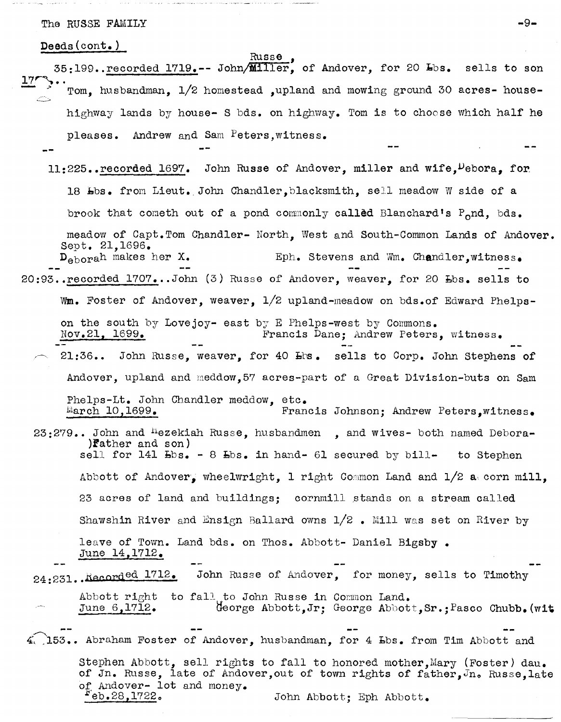The RUSSE FAMILY  $-9-$ 

Deeds(cont.)

- Russe<br>35:199..recorded 1719.-- John/Miller, of Andover, for 20 Lbs. sells to son Tom, husbandman, 1/2 homestead ,upland and mowing ground 30 acres- house-**-** highway lands by house- S bds. on highway. Tom is to choose which half he pleases. Andrew and Sam Peters,witness.
- $11:225$ . recorded 1697. John Russe of Andover, miller and wife,  $P_{\text{ebora}}$ , for 18 Lbs. from Lieut. John Chandler, blacksmith, sell meadow W side of a brook that cometh out of a pond commonly called Blanchard's  $P_0$ nd, bds. meadow of Capt.Tom Chandler- North, West and South-Common Lands of Andover. Sept. 21,1696.<br>D<sub>ebora</sub>h makes her X. Eph. Stevens and Wm. Chandler,witness. 20:93. recorded 1707...John (3) Russe of Andover, weaver, for 20 Lbs. sells to
	- Wm. Foster of Andover, weaver,  $1/2$  upland-meadow on bds.of Edward Phelps-
	- on the south by Lovejoy- east by E Phelps-west by Commons. Nov.2l, 1699. Francis Dane; Andrew Peters, witness.
	- 21:36.. John Russe, weaver, for 40 Lhs. sells to Corp. John Stephens of Andover, upland and meddow,57 acres-part of a Great Division-buts on Sam

Phelps-Lt. John Chandler meddow, etc. March 10,1699. Francis Johnson; Andrew Peters,witness.

23:279.. John and <sup>H</sup>ezekiah Russe, husbandmen, and wives- both named Debora-)f'ather and son) sell for  $141$   $Bbs. - 8$   $Bbs.$  in hand- 61 secured by bill- to Stephen Abbott of Andover, wheelwright, 1 right Common Land and  $1/2$  a, corn mill,

23 acres of land and buildings; cornmill stands on a stream called Shawshin River and Ensign Ballard owns  $1/2$  . Mill was set on River by

leave of Town. Land bds. on Thos. Abbott- Daniel Bigsby. June 14,1712.

24:231. Recorded 1712. John Russe of Andover, for money, sells to Timothy

Abbott right to fall to John Russe in Common Land. June 6,1712 • George Abbott, Jr; George Abbott, Sr. ; Pasco Chubb. (wit

 $4.$  153.. Abraham Foster of Andover, husbandman, for 4 Lbs. from Tim Abbott and Stephen Abbott, sell rights to fall to honored mother, Mary (Foster) dau. of Jn. Russe, late of Andover, out of town rights of father,  $J_n$ . Russe, late of Andover- lot and money.<br>Feb.28,1722. John Abbott; Eph Abbott.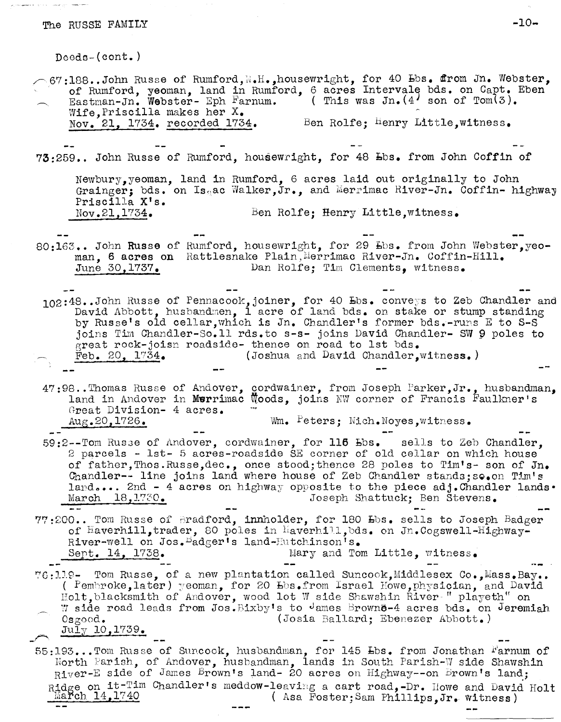# The RUSSE FAMILY  $-10-$

Deods-(cont.)  $\sim$  67:188..John Russe of Rumford,  $\mathbb{N}$ .H.,housewright, for 40  $\texttt{Ebs}$ . from Jn. Webster, of Rumford, yeoman, land in Rumford, 6 acres Intervale bds. on Capt. Eben beneficially been the Eben estated by This was Jn. (4 son of Tom(3). Wife,Priscilla makes her X. Nov. 21, 1734. recorded 1734. Ben Rolfe; Henry Little, witness. 73:259 •• John Russe of Rumford, housewright, for 48 hbs. from John Coffin of Newbury, yeoman, land in Rumford, 6 acres laid out originally to John Grainger; bds. on  $I_{S_{\mathbb{Q}}}$ ac Walker,Jr., and Merrimac River-Jn. Coffin- highway Priscilla X's.<br>Nov.21,1734. Ben Rolfe; Henry Little,witness. 80:163.. John Russe of Rumford, housewright, for 29 Lbs. from John Webster, yeoman, 6 acres on Rattlesnake Plain, Merrimac River-Jn. Coffin-Hill. June 30,1737. Dan Rolfe; Tim Clements, witness. 102:48..John Russe of Pennacook,joiner, for 40 Lbs. conveys to Zeb Chandler and David Abbott, husbandmen, 1 acre of land bds. on stake or stump standing by Russe's old cellar, which is Jn. Chandler's former bds.-runs E to S-S joins Tim Chandler-So.11 rds.to s-s- joins David Chandler- SW 9 poles to great rock-joisn roadside- thence on road to 1st bds.<br>Feb. 20, 1734. (Joshua and David Chandler, (Joshua and David Chandler, witness.)  $47\, ; 98$ ..Thomas Russe of Andover, cordwainer, from Joseph Farker, Jr., husbandman, land in Andover in Murrimac Woods, joins NW corner of Francis Faulkner's Great Division- 4 acres. Aug.20,1726. Wm. Peters; Nich.Noyes,witpess. 59:2--Tom RUS3e of Andover, cordwainer, for 116 bbs. sells to Zeb Chandler, 2 parcels - lst- 5 acres-roadside SE corner of old cellar on which house of father,Thos.Russe,dec., once stood;thence 28 poles to Tim's- son of In. Chandler-- line joins land where house of Zeb Chandler stands; so.on Tim's land.... 2nd - 4 acres on highway opposite to the piece adj. Chandler lands. March 18,1730. Joseph Shattuck; Ben Stevens.

- $77:200...$  Tom Russe of Bradford, innholder, for 180  $E$ s. sells to Joseph Badger of  $\texttt{Haverhill}$ , trader, 80 poles in Laverhill, bds. on Jn.Cogswell-Highway-River-well on Jos. Badger's land-Hutchinson's. Sept. 14, 1738.  $Mary$  and Tom Little, witness.
- 76:119- Tom Russe, of a new plantation called Suncook, Middlesex Co., Mass. Bay.. ( Pembroke,later) yeoman, for 20  $E$ bs.from Israel Howe,physician, and David Holt, blacksmith of Andover, wood lot W side Shawshin River " playeth" on W side road leads from Jos. Bixby's to James Brown $e^{-4}$  acres bds. on Jeremiah Osgood. (Josia Ballard; Ebenezer Abbott.) *July 10, 1739.*

55:193...Tom Russe of Suncook, husbandman, for 145 Lbs. from Jonathan Farnum of North Parish, of Andover, husbandman, lands in South Parish-W side Shawshin River-E side of James Brown's land- 20 acres on Highway--on Brown's land; Ridge on it-Tim Chandler's meddow-leaving a cart road,-Dr. Howe and David Holt<br>March  $14,1740$  (Asa Foster:Sam Phillips.Jr. witness) ( Asa Foster; Sam Phillips, Jr. witness)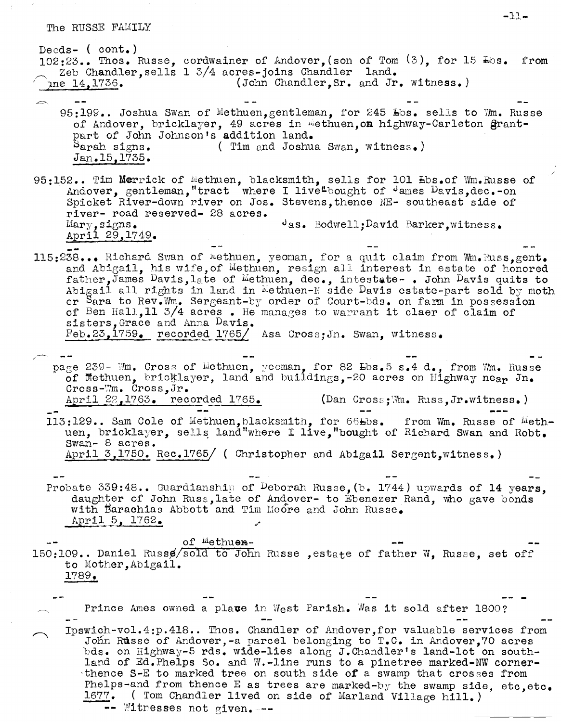Deeds-  $($  cont.)  $102:23...$  Thos. Russe, cordwainer of Andover, (son of Tom  $(3)$ , for 15  $\text{Ebs}$ . from Zeb Chandler, sells 1 3/4 acres-joins Chandler land. (John Chandler, Sr. and Jr. witness.) ine 14, 1736.

- 95:199.. Joshua Swan of Methuen, gentleman, for 245 Lbs. sells to Mm. Russe of Andover, bricklayer, 49 acres in methuen, on highway-Carleton grantpart of John Johnson's addition land. Sarah signs. (Tim and Joshua Swan, witness.)  $Jan.15, 1735.$
- 95:152.. Tim Merrick of Methuen, blacksmith, sells for 101 Ebs.of Wm.Russe of Andover, gentleman, "tract where I live"bought of dames Davis, dec.-on Spicket River-down river on Jos. Stevens, thence NE- southeast side of river- road reserved- 28 acres.  $\theta$ as. Bodwell; David Barker, witness.  $Mary$ , signs. April 29, 1749.
- 115:238... Richard Swan of Wethuen, yeoman, for a quit claim from Wm. Russ.gent. and Abigail, his wife, of Methuen, resign all interest in estate of honored father, James Davis, late of Methuen, dec., intestate-. John Davis quits to Abigail all rights in land in Methuen-M side Davis estate-part sold by moth er Sara to Rev.Wm. Sergeant-by order of Court-bds. on farm in possession of Ben Hall, 11 3/4 acres. He manages to warrant it claer of claim of sisters, Grace and Anna Davis.  $\text{Feb.23,1759.}$  recorded 1765/ Asa Cross; Jn. Swan, witness.
- page 239- Wm. Cross of Lethuen, yeoman, for 82 Lbs. 5 s. 4 d., from Wm. Russe of Methuen, bricklayer, land and buildings, -20 acres on Highway neap Jn. Cross-Wm. Cross,  $Jr$ . April 22, 1763. recorded 1765. (Dan Cross;  $\mathbb{W}_4$ . Russ, Jr. witness.)
	- 113:129.. Sam Cole of Methuen, blacksmith, for 66Lbs. from Wm. Russe of Methuen, bricklayer, sells land"where I live, "bought of Richard Swan and Robt. Swan- 8 acres. April 3,1750. Rec.1765/ ( Christopher and Abigail Sergent, witness.)
	- Probate 339:48.. Guardianship of Deborah Russe, (b. 1744) upwards of 14 years, daughter of John Russ, late of Andover- to Ebenezer Rand, who gave bonds with Barachias Abbott and Tim Moore and John Russe. April 5, 1762.

of Wethuen-150:109.. Daniel Russe/sold to John Russe, estate of father W, Russe, set off to Mother, Abigail. 1789.

Prince Ames owned a place in West Parish. Was it sold after 1800? Ipswich-vol.4:p.418.. Thos. Chandler of Andover, for valuable services from John Russe of Andover, -a parcel belonging to T.C. in Andover, 70 acres bds. on Highway-5 rds. wide-lies along J.Chandler's land-lot on southland of Ed.Phelps So. and W.-line runs to a pinetree marked-NW cornerthence S-E to marked tree on south side of a swamp that crosses from Phelps-and from thence E as trees are marked-by the swamp side, etc, etc. 1677. (Tom Chandler lived on side of Marland Village hill.) -- Witnesses not given. --